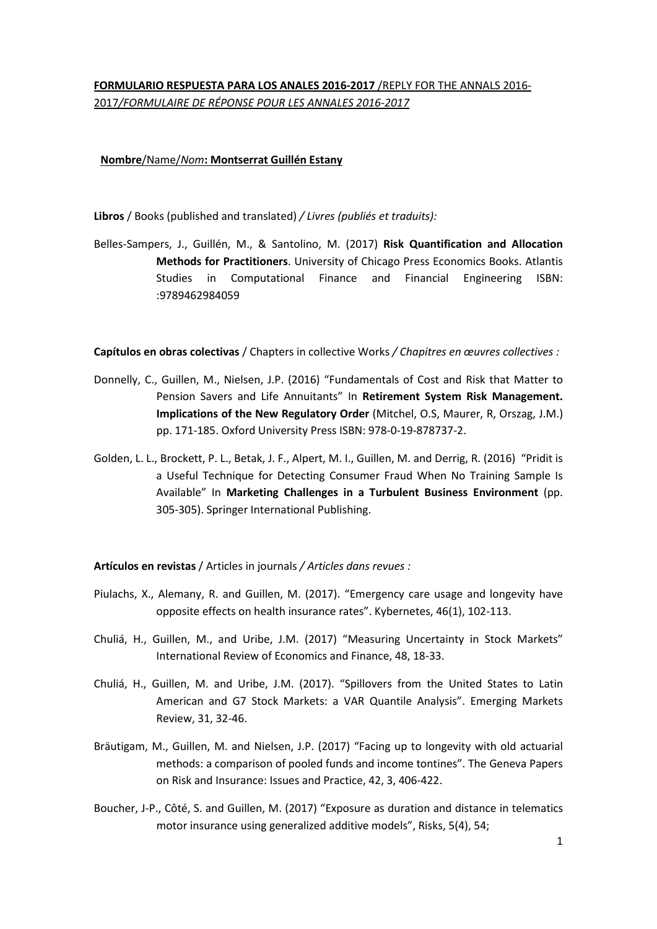## **FORMULARIO RESPUESTA PARA LOS ANALES 2016-2017** /REPLY FOR THE ANNALS 2016- 2017*/FORMULAIRE DE RÉPONSE POUR LES ANNALES 2016-2017*

## **Nombre**/Name/*Nom***: Montserrat Guillén Estany**

**Libros** / Books (published and translated) */ Livres (publiés et traduits):*

Belles-Sampers, J., Guillén, M., & Santolino, M. (2017) **Risk Quantification and Allocation Methods for Practitioners**. University of Chicago Press Economics Books. Atlantis Studies in Computational Finance and Financial Engineering ISBN: :9789462984059

**Capítulos en obras colectivas** / Chapters in collective Works */ Chapitres en œuvres collectives :*

- Donnelly, C., Guillen, M., Nielsen, J.P. (2016) "Fundamentals of Cost and Risk that Matter to Pension Savers and Life Annuitants" In **Retirement System Risk Management. Implications of the New Regulatory Order** (Mitchel, O.S, Maurer, R, Orszag, J.M.) pp. 171-185. Oxford University Press ISBN: 978-0-19-878737-2.
- Golden, L. L., Brockett, P. L., Betak, J. F., Alpert, M. I., Guillen, M. and Derrig, R. (2016) "Pridit is a Useful Technique for Detecting Consumer Fraud When No Training Sample Is Available" In **Marketing Challenges in a Turbulent Business Environment** (pp. 305-305). Springer International Publishing.

**Artículos en revistas** / Articles in journals */ Articles dans revues :*

- Piulachs, X., Alemany, R. and Guillen, M. (2017). "Emergency care usage and longevity have opposite effects on health insurance rates". Kybernetes, 46(1), 102-113.
- Chuliá, H., Guillen, M., and Uribe, J.M. (2017) "Measuring Uncertainty in Stock Markets" International Review of Economics and Finance, 48, 18-33.
- Chuliá, H., Guillen, M. and Uribe, J.M. (2017). "Spillovers from the United States to Latin American and G7 Stock Markets: a VAR Quantile Analysis". Emerging Markets Review, 31, 32-46.
- Bräutigam, M., Guillen, M. and Nielsen, J.P. (2017) "Facing up to longevity with old actuarial methods: a comparison of pooled funds and income tontines". The Geneva Papers on Risk and Insurance: Issues and Practice, 42, 3, 406-422.
- Boucher, J-P., Côté, S. and Guillen, M. (2017) "Exposure as duration and distance in telematics motor insurance using generalized additive models", Risks, 5(4), 54;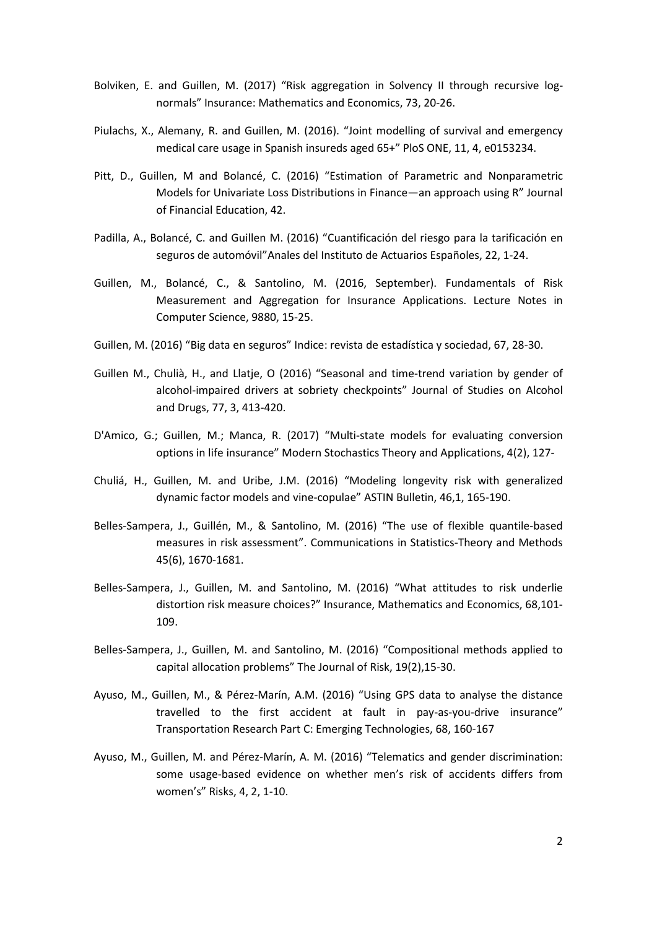- Bolviken, E. and Guillen, M. (2017) "Risk aggregation in Solvency II through recursive lognormals" Insurance: Mathematics and Economics, 73, 20-26.
- Piulachs, X., Alemany, R. and Guillen, M. (2016). "Joint modelling of survival and emergency medical care usage in Spanish insureds aged 65+" PloS ONE, 11, 4, e0153234.
- Pitt, D., Guillen, M and Bolancé, C. (2016) "Estimation of Parametric and Nonparametric Models for Univariate Loss Distributions in Finance—an approach using R" Journal of Financial Education, 42.
- Padilla, A., Bolancé, C. and Guillen M. (2016) "Cuantificación del riesgo para la tarificación en seguros de automóvil"Anales del Instituto de Actuarios Españoles, 22, 1-24.
- Guillen, M., Bolancé, C., & Santolino, M. (2016, September). Fundamentals of Risk Measurement and Aggregation for Insurance Applications. Lecture Notes in Computer Science, 9880, 15-25.
- Guillen, M. (2016) "Big data en seguros" Indice: revista de estadística y sociedad, 67, 28-30.
- Guillen M., Chulià, H., and Llatje, O (2016) "Seasonal and time-trend variation by gender of alcohol-impaired drivers at sobriety checkpoints" Journal of Studies on Alcohol and Drugs, 77, 3, 413-420.
- D'Amico, G.; Guillen, M.; Manca, R. (2017) "Multi-state models for evaluating conversion options in life insurance" Modern Stochastics Theory and Applications, 4(2), 127-
- Chuliá, H., Guillen, M. and Uribe, J.M. (2016) "Modeling longevity risk with generalized dynamic factor models and vine-copulae" ASTIN Bulletin, 46,1, 165-190.
- Belles-Sampera, J., Guillén, M., & Santolino, M. (2016) "The use of flexible quantile-based measures in risk assessment". Communications in Statistics-Theory and Methods 45(6), 1670-1681.
- Belles-Sampera, J., Guillen, M. and Santolino, M. (2016) "What attitudes to risk underlie distortion risk measure choices?" Insurance, Mathematics and Economics, 68,101- 109.
- Belles-Sampera, J., Guillen, M. and Santolino, M. (2016) "Compositional methods applied to capital allocation problems" The Journal of Risk, 19(2),15-30.
- Ayuso, M., Guillen, M., & Pérez-Marín, A.M. (2016) "Using GPS data to analyse the distance travelled to the first accident at fault in pay-as-you-drive insurance" Transportation Research Part C: Emerging Technologies, 68, 160-167
- Ayuso, M., Guillen, M. and Pérez-Marín, A. M. (2016) "Telematics and gender discrimination: some usage-based evidence on whether men's risk of accidents differs from women's" Risks, 4, 2, 1-10.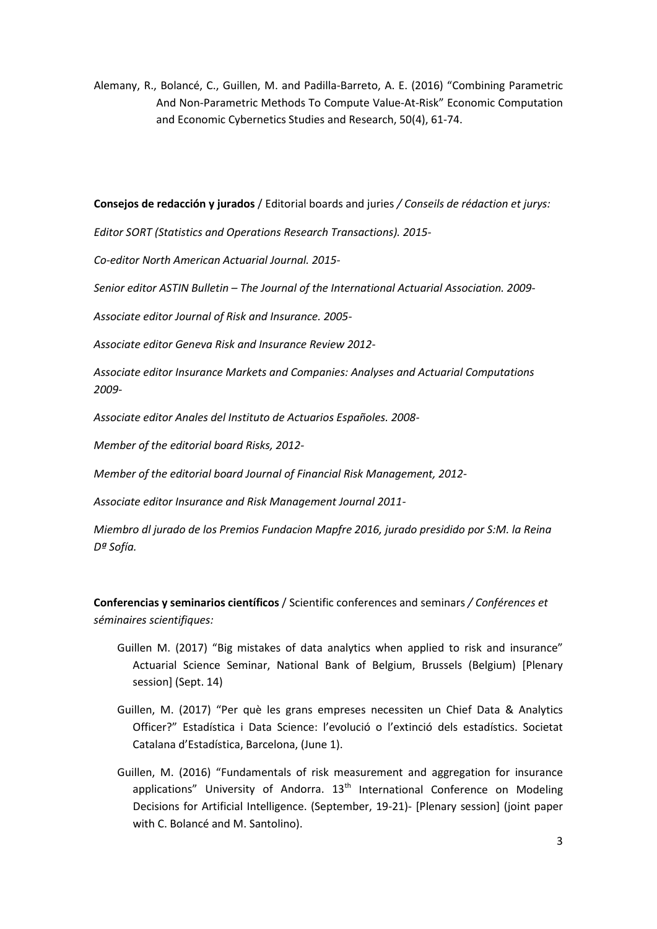Alemany, R., Bolancé, C., Guillen, M. and Padilla-Barreto, A. E. (2016) "Combining Parametric And Non-Parametric Methods To Compute Value-At-Risk" Economic Computation and Economic Cybernetics Studies and Research, 50(4), 61-74.

**Consejos de redacción y jurados** / Editorial boards and juries */ Conseils de rédaction et jurys:*

*Editor SORT (Statistics and Operations Research Transactions). 2015-*

*Co-editor North American Actuarial Journal. 2015-*

*Senior editor ASTIN Bulletin – The Journal of the International Actuarial Association. 2009-*

*Associate editor Journal of Risk and Insurance. 2005-*

*Associate editor Geneva Risk and Insurance Review 2012-*

*Associate editor Insurance Markets and Companies: Analyses and Actuarial Computations 2009-*

*Associate editor Anales del Instituto de Actuarios Españoles. 2008-*

*Member of the editorial board Risks, 2012-*

*Member of the editorial board Journal of Financial Risk Management, 2012-*

*Associate editor Insurance and Risk Management Journal 2011-*

*Miembro dl jurado de los Premios Fundacion Mapfre 2016, jurado presidido por S:M. la Reina Dª Sofía.*

**Conferencias y seminarios científicos** / Scientific conferences and seminars */ Conférences et séminaires scientifiques:*

- Guillen M. (2017) "Big mistakes of data analytics when applied to risk and insurance" Actuarial Science Seminar, National Bank of Belgium, Brussels (Belgium) [Plenary session] (Sept. 14)
- Guillen, M. (2017) "Per què les grans empreses necessiten un Chief Data & Analytics Officer?" Estadística i Data Science: l'evolució o l'extinció dels estadístics. Societat Catalana d'Estadística, Barcelona, (June 1).
- Guillen, M. (2016) "Fundamentals of risk measurement and aggregation for insurance applications" University of Andorra.  $13<sup>th</sup>$  International Conference on Modeling Decisions for Artificial Intelligence. (September, 19-21)- [Plenary session] (joint paper with C. Bolancé and M. Santolino).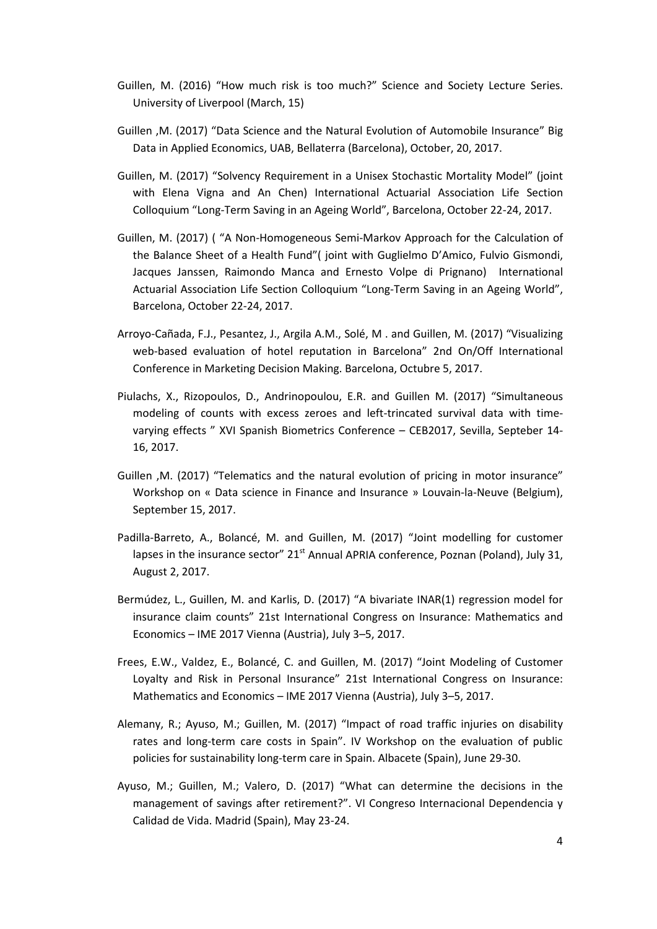- Guillen, M. (2016) "How much risk is too much?" Science and Society Lecture Series. University of Liverpool (March, 15)
- Guillen ,M. (2017) "Data Science and the Natural Evolution of Automobile Insurance" Big Data in Applied Economics, UAB, Bellaterra (Barcelona), October, 20, 2017.
- Guillen, M. (2017) "Solvency Requirement in a Unisex Stochastic Mortality Model" (joint with Elena Vigna and An Chen) International Actuarial Association Life Section Colloquium "Long-Term Saving in an Ageing World", Barcelona, October 22-24, 2017.
- Guillen, M. (2017) ( "A Non-Homogeneous Semi-Markov Approach for the Calculation of the Balance Sheet of a Health Fund"( joint with Guglielmo D'Amico, Fulvio Gismondi, Jacques Janssen, Raimondo Manca and Ernesto Volpe di Prignano) International Actuarial Association Life Section Colloquium "Long-Term Saving in an Ageing World", Barcelona, October 22-24, 2017.
- Arroyo-Cañada, F.J., Pesantez, J., Argila A.M., Solé, M . and Guillen, M. (2017) "Visualizing web-based evaluation of hotel reputation in Barcelona" 2nd On/Off International Conference in Marketing Decision Making. Barcelona, Octubre 5, 2017.
- Piulachs, X., Rizopoulos, D., Andrinopoulou, E.R. and Guillen M. (2017) "Simultaneous modeling of counts with excess zeroes and left-trincated survival data with timevarying effects " XVI Spanish Biometrics Conference – CEB2017, Sevilla, Septeber 14- 16, 2017.
- Guillen ,M. (2017) "Telematics and the natural evolution of pricing in motor insurance" Workshop on « Data science in Finance and Insurance » Louvain-la-Neuve (Belgium), September 15, 2017.
- Padilla-Barreto, A., Bolancé, M. and Guillen, M. (2017) "Joint modelling for customer lapses in the insurance sector"  $21<sup>st</sup>$  Annual APRIA conference, Poznan (Poland), July 31, August 2, 2017.
- Bermúdez, L., Guillen, M. and Karlis, D. (2017) "A bivariate INAR(1) regression model for insurance claim counts" 21st International Congress on Insurance: Mathematics and Economics – IME 2017 Vienna (Austria), July 3–5, 2017.
- Frees, E.W., Valdez, E., Bolancé, C. and Guillen, M. (2017) "Joint Modeling of Customer Loyalty and Risk in Personal Insurance" 21st International Congress on Insurance: Mathematics and Economics – IME 2017 Vienna (Austria), July 3–5, 2017.
- Alemany, R.; Ayuso, M.; Guillen, M. (2017) "Impact of road traffic injuries on disability rates and long-term care costs in Spain". IV Workshop on the evaluation of public policies for sustainability long-term care in Spain. Albacete (Spain), June 29-30.
- Ayuso, M.; Guillen, M.; Valero, D. (2017) "What can determine the decisions in the management of savings after retirement?". VI Congreso Internacional Dependencia y Calidad de Vida. Madrid (Spain), May 23-24.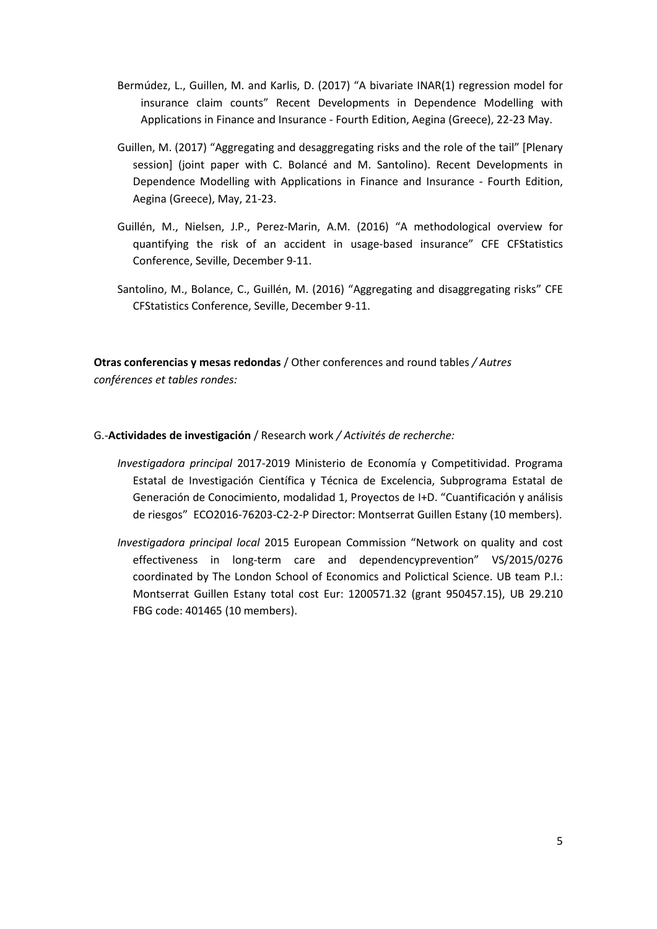- Bermúdez, L., Guillen, M. and Karlis, D. (2017) "A bivariate INAR(1) regression model for insurance claim counts" Recent Developments in Dependence Modelling with Applications in Finance and Insurance - Fourth Edition, Aegina (Greece), 22-23 May.
- Guillen, M. (2017) "Aggregating and desaggregating risks and the role of the tail" [Plenary session] (joint paper with C. Bolancé and M. Santolino). Recent Developments in Dependence Modelling with Applications in Finance and Insurance - Fourth Edition, Aegina (Greece), May, 21-23.
- Guillén, M., Nielsen, J.P., Perez-Marin, A.M. (2016) "A methodological overview for quantifying the risk of an accident in usage-based insurance" CFE CFStatistics Conference, Seville, December 9-11.
- Santolino, M., Bolance, C., Guillén, M. (2016) "Aggregating and disaggregating risks" CFE CFStatistics Conference, Seville, December 9-11.

**Otras conferencias y mesas redondas** / Other conferences and round tables */ Autres conférences et tables rondes:*

## G.-**Actividades de investigación** / Research work */ Activités de recherche:*

- *Investigadora principal* 2017-2019 Ministerio de Economía y Competitividad. Programa Estatal de Investigación Científica y Técnica de Excelencia, Subprograma Estatal de Generación de Conocimiento, modalidad 1, Proyectos de I+D. "Cuantificación y análisis de riesgos" ECO2016-76203-C2-2-P Director: Montserrat Guillen Estany (10 members).
- *Investigadora principal local* 2015 European Commission "Network on quality and cost effectiveness in long-term care and dependencyprevention" VS/2015/0276 coordinated by The London School of Economics and Polictical Science. UB team P.I.: Montserrat Guillen Estany total cost Eur: 1200571.32 (grant 950457.15), UB 29.210 FBG code: 401465 (10 members).